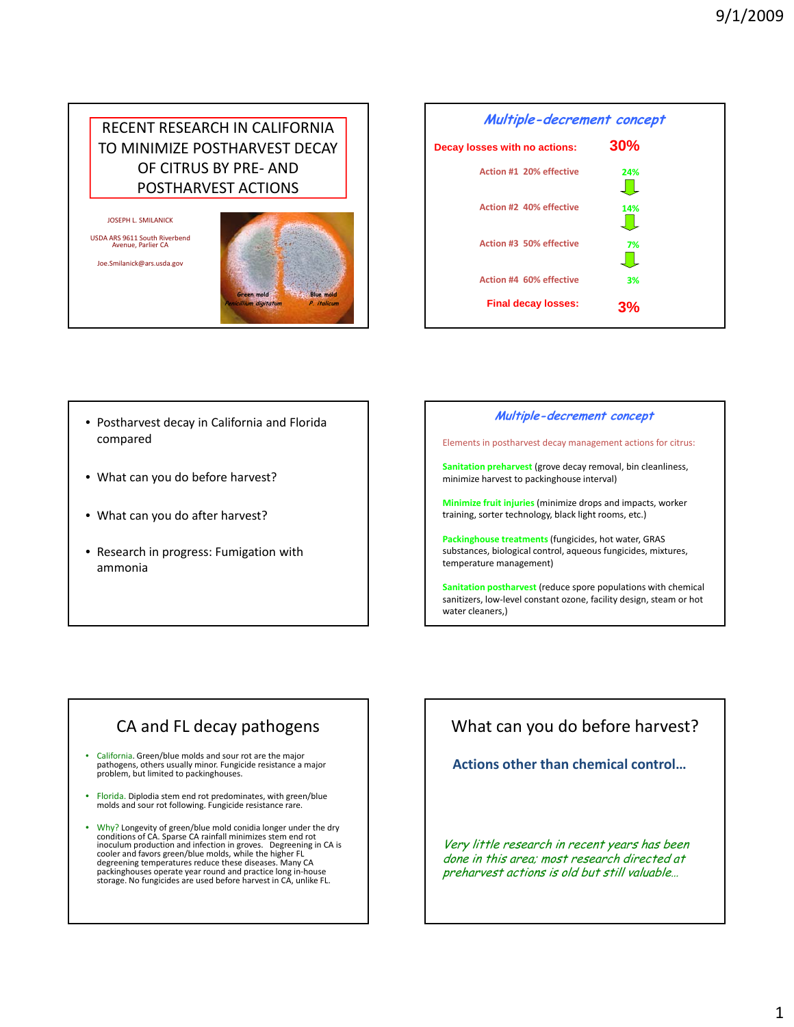## RECENT RESEARCH IN CALIFORNIA TO MINIMIZE POSTHARVEST DECAY OF CITRUS BY PRE‐ AND POSTHARVEST ACTIONS

JOSEPH L. SMILANICK

USDA ARS <sup>9611</sup> South Riverbend Avenue, Parlier CA Joe.Smilanick@ars.usda.gov





- Postharvest decay in California and Florida compared
- What can you do before harvest?
- What can you do after harvest?
- Research in progress: Fumigation with ammonia

#### **Multiple-decrement concept**

Elements in postharvest decay management actions for citrus:

**Sanitation preharvest** (grove decay removal, bin cleanliness, minimize harvest to packinghouse interval)

**Minimize fruit injuries** (minimize drops and impacts, worker training, sorter technology, black light rooms, etc.)

**Packinghouse treatments** (fungicides, hot water, GRAS substances, biological control, aqueous fungicides, mixtures, temperature management)

**Sanitation postharvest** (reduce spore populations with chemical sanitizers, low‐level constant ozone, facility design, steam or hot water cleaners,)

## CA and FL decay pathogens

- California. Green/blue molds and sour rot are the major pathogens, others usually minor. Fungicide resistance a major problem, but limited to packinghouses.
- Florida. Diplodia stem end rot predominates, with green/blue molds and sour rot following. Fungicide resistance rare.
- Why? Longevity of green/blue mold conidia longer under the dry conditions of CA. Sparse CA rainfall minimizes stem end rot inoculum production and infection in groves. Degreening in CA is cooler and favors green/blue molds, while the higher FL degreening temperatures reduce these diseases. Many CA packinghouses operate year round and practice long in‐house storage. No fungicides are used before harvest in CA, unlike FL.

## What can you do before harvest?

**Actions other than chemical control…**

Very little research in recent years has been done in this area; most research directed at preharvest actions is old but still valuable…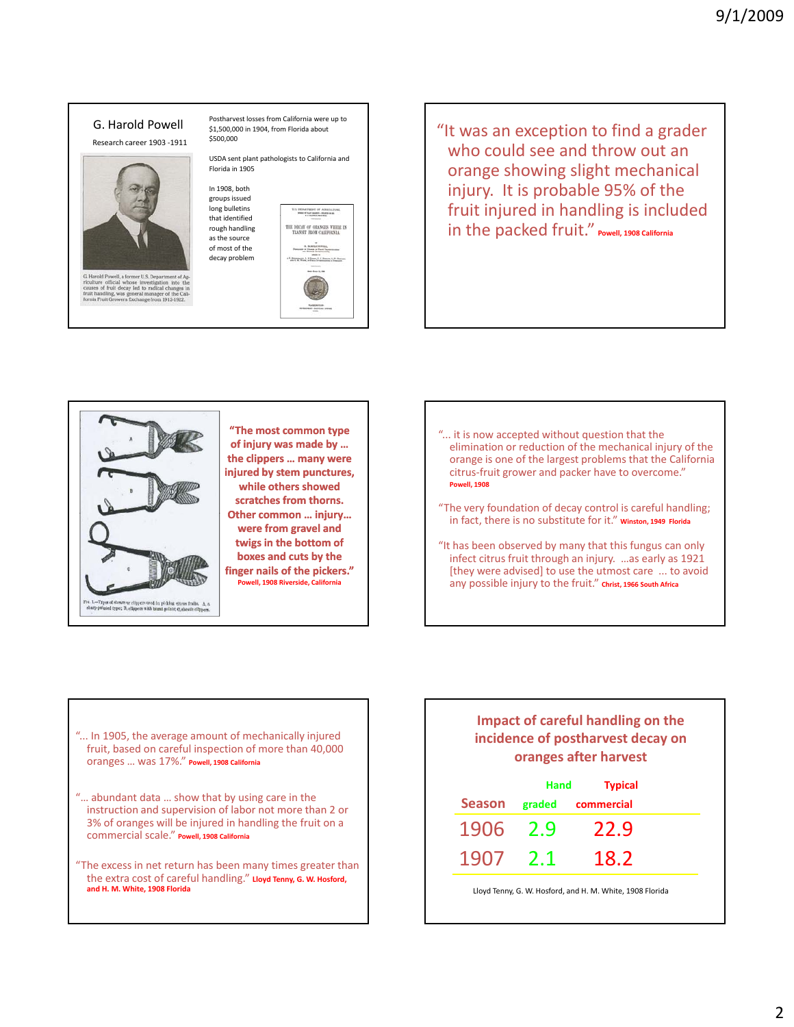

"It was an exception to find a grader who could see and throw out an orange showing slight mechanical injury. It is probable 95% of the fruit injured in handling is included in the packed fruit." **Powell, <sup>1908</sup> California**



**"The most common type of injury was made by … the clippers … many were injured by stem punctures, while others showed scratches from thorns. Other common … injury… were from gravel and twigs in the bottom of boxes and cuts by the finger nails of the pickers." Powell, 1908 Riverside, California**

- "... it is now accepted without question that the elimination or reduction of the mechanical injury of the orange is one of the largest problems that the California citrus‐fruit grower and packer have to overcome." **Powell, 1908**
- "The very foundation of decay control is careful handling; in fact, there is no substitute for it." **Winston, <sup>1949</sup> Florida**
- "It has been observed by many that this fungus can only infect citrus fruit through an injury. …as early as 1921 [they were advised] to use the utmost care ... to avoid any possible injury to the fruit." **Christ, <sup>1966</sup> South Africa**

- "... In 1905, the average amount of mechanically injured fruit, based on careful inspection of more than 40,000 oranges … was 17%." **Powell, <sup>1908</sup> California**
- "… abundant data … show that by using care in the instruction and supervision of labor not more than 2 or 3% of oranges will be injured in handling the fruit on a commercial scale." **Powell, <sup>1908</sup> California**
- "The excess in net return has been many times greater than the extra cost of careful handling." **Lloyd Tenny, G. W. Hosford, and H. M. White, 1908 Florida**

### **Impact of careful handling on the incidence of postharvest decay on oranges after harvest**

|          | Hand<br><b>Typical</b> |                          |  |
|----------|------------------------|--------------------------|--|
|          |                        | Season graded commercial |  |
| 1906 2.9 |                        | 22.9                     |  |
| 1907     | $-2.1$                 | 18.2                     |  |

Lloyd Tenny, G. W. Hosford, and H. M. White, 1908 Florida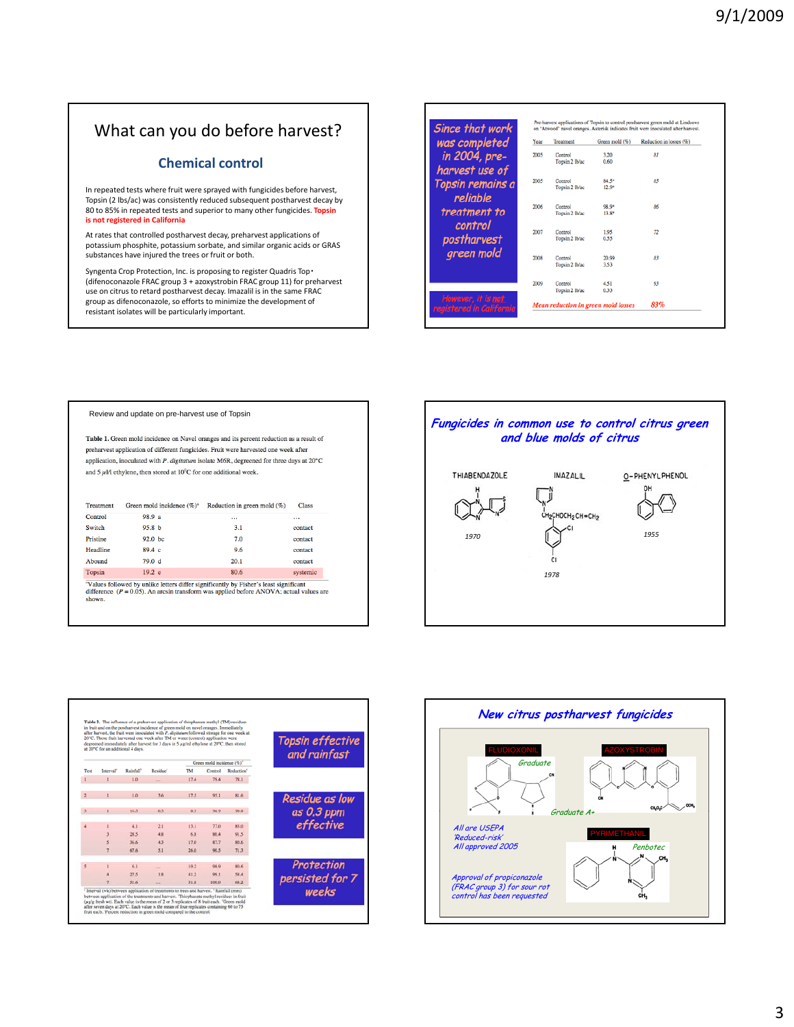## What can you do before harvest?

### **Chemical control**

In repeated tests where fruit were sprayed with fungicides before harvest, Topsin (2 lbs/ac) was consistently reduced subsequent postharvest decay by 80 to 85% in repeated tests and superior to many other fungicides. **Topsin is not registered in California**

At rates that controlled postharvest decay, preharvest applications of potassium phosphite, potassium sorbate, and similar organic acids or GRAS substances have injured the trees or fruit or both.

Syngenta Crop Protection, Inc. is proposing to register Quadris Top・ (difenoconazole FRAC group 3 + azoxystrobin FRAC group 11) for preharvest use on citrus to retard postharvest decay. Imazalil is in the same FRAC group as difenoconazole, so efforts to minimize the development of resistant isolates will be particularly important.

| was completed    | Year | Treatment      | Green mold (%) | Reduction in losses (%) |
|------------------|------|----------------|----------------|-------------------------|
|                  | 2005 | Control        | 3.20           | 81                      |
| in 2004, pre-    |      | Topsin 2 lb/ac | 0.60           |                         |
| harvest use of   |      |                |                |                         |
|                  | 2005 | Control        | 84.5*          | 85                      |
| Topsin remains a |      | Topsin 2 lb/ac | $12.9*$        |                         |
| reliable         |      |                |                |                         |
|                  | 2006 | Control        | 98.9*          | 86                      |
| treatment to     |      | Toosin 2 Ib/ac | $13.8*$        |                         |
| control          |      |                |                |                         |
|                  | 2007 | Control        | 1.95           | 72                      |
| postharvest      |      | Topsin 2 lb/ac | 0.55           |                         |
| green mold       | 2008 | Control        | 20.99          | 83                      |
|                  |      | Topsin 2 Ib/ac | 3.53           |                         |
|                  |      |                |                |                         |
|                  | 2009 | Control        | 4.51           | 93                      |
|                  |      | Topsin 2 Ib/ac | 0.33           |                         |

#### Review and update on pre-harvest use of Topsin

Table 1. Green mold incidence on Navel oranges and its percent reduction as a result of preharvest application of different fungicides. Fruit were harvested one week after application, inoculated with  $P$ . digitatum isolate M6R, degreened for three days at  $20^{\circ}$ C and 5  $\mu$  l/l ethylene, then stored at  $10^{\rm o}{\rm C}$  for one additional week.

| Treatment | Green mold incidence (%) <sup>a</sup> | Reduction in green mold $(\%)$ | <b>Class</b> |
|-----------|---------------------------------------|--------------------------------|--------------|
| Control   | 98.9 a                                |                                |              |
| Switch    | 95.8 <sub>b</sub>                     | 3.1                            | contact      |
| Pristine  | 92.0 <sub>b</sub>                     | 7.0                            | contact      |
| Headline  | 89.4c                                 | 9.6                            | contact      |
| Abound    | 79.0 d                                | 20.1                           | contact      |
| Topsin    | 19.2 e                                | 80.6                           | systemic     |

**EXECUTE 1972** 1972<br> **EXECUTE:**  $\frac{197.2 \text{ e}}{1000 \text{ e}}$  by unlike letters differ significantly by Fisher's least significant<br>
difference ( $P = 0.05$ ). An arcsin transform was applied before ANOVA; actual values are<br>
show





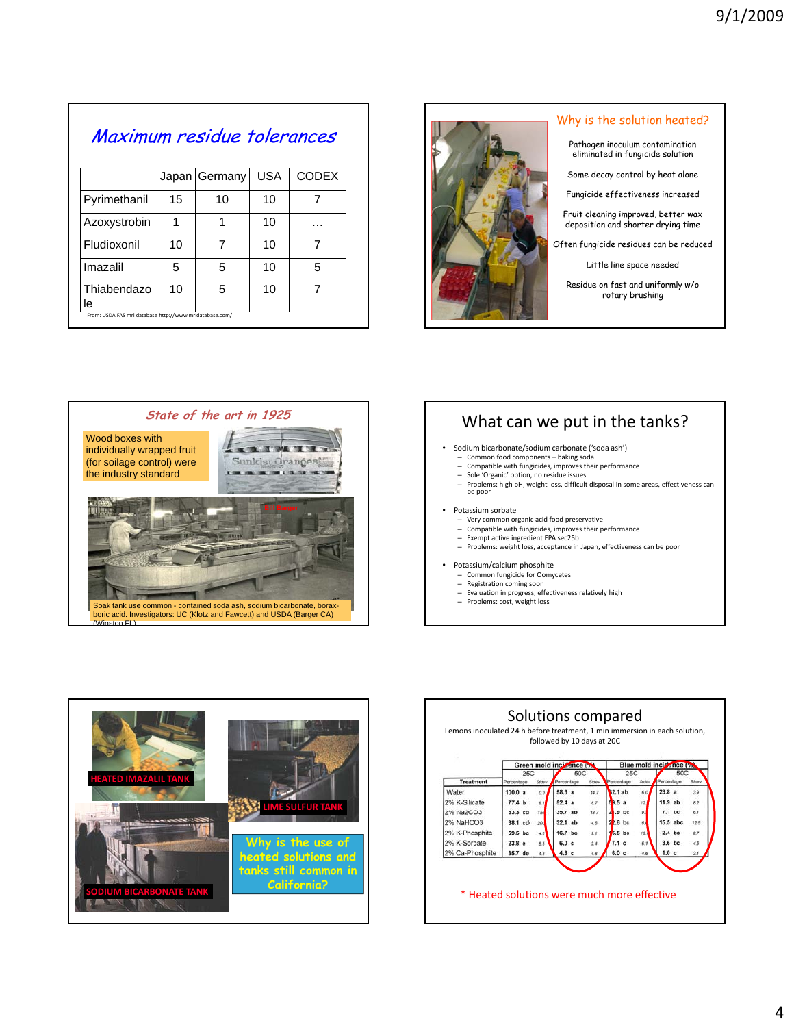| Maximum residue tolerances |  |                           |  |  |  |
|----------------------------|--|---------------------------|--|--|--|
|                            |  | Japan Germany USA   CODEX |  |  |  |

|                                                         |    | "  | --- |   |
|---------------------------------------------------------|----|----|-----|---|
| Pyrimethanil                                            | 15 | 10 | 10  |   |
| Azoxystrobin                                            |    |    | 10  | . |
| Fludioxonil                                             | 10 |    | 10  |   |
| Imazalil                                                | 5  | 5  | 10  | 5 |
| Thiabendazo<br>ıe                                       | 10 | 5  | 10  |   |
| From: USDA FAS mrl database http://www.mrldatabase.com/ |    |    |     |   |



#### Why is the solution heated?

Pathogen inoculum contamination eliminated in fungicide solution

Some decay control by heat alone

Fungicide effectiveness increased

Fruit cleaning improved, better wax<br>deposition and shorter drying time

Often fungicide residues can be reduced

Little line space needed

Residue on fast and uniformly w/o rotary brushing



# What can we put in the tanks?

- Sodium bicarbonate/sodium carbonate ('soda ash')
	- Common food components baking soda Compatible with fungicides, improves their performance
	- Sole 'Organic' option, no residue issues
	- Problems: high pH, weight loss, difficult disposal in some areas, effectiveness can be poor
	- Potassium sorbate
- Very common organic acid food preservative
- Compatible with fungicides, improves their performance – Exempt active ingredient EPA sec25b
- Problems: weight loss, acceptance in Japan, effectiveness can be poor
- Potassium/calcium phosphite
- $-$  Common fungicide for Oomycetes<br> $-$  Registration coming soon
	- Registration coming soon
- Evaluation in progress, effectiveness relatively high<br>- Evaluation in progress, effectiveness relatively high<br>- Problems: cost. weight loss
- Problems: cost, weight loss



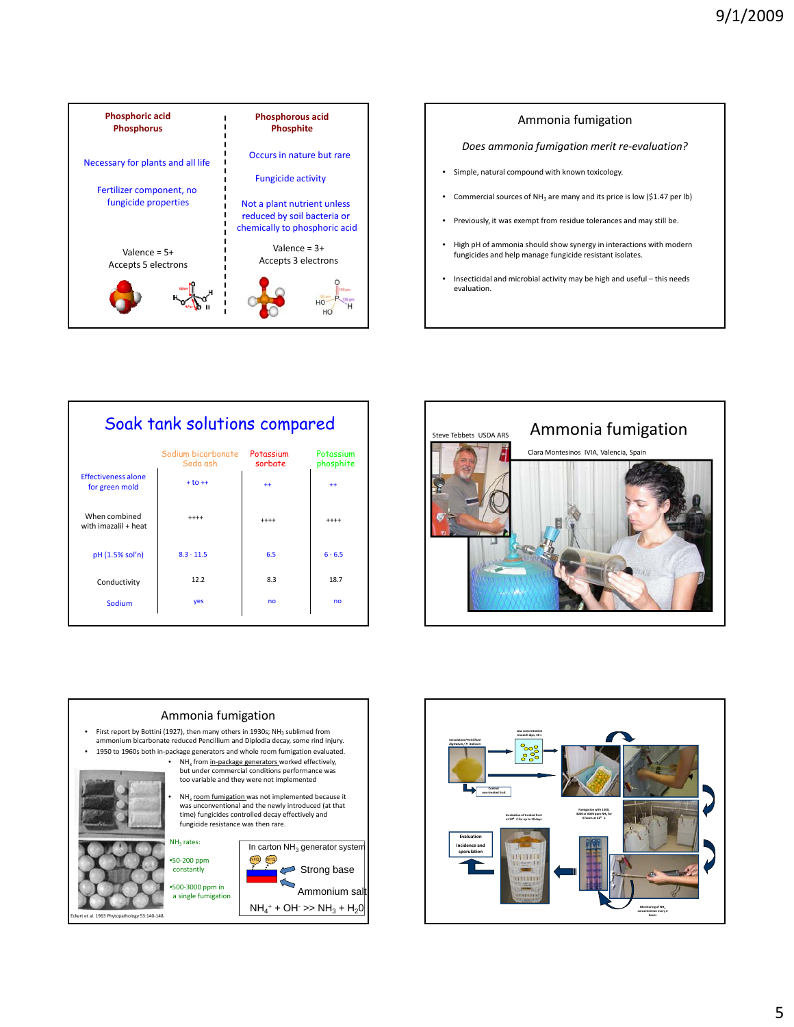



| Soak tank solutions compared                 |                                |                      |                        |  |
|----------------------------------------------|--------------------------------|----------------------|------------------------|--|
|                                              | Sodium bicarbonate<br>Soda ash | Potassium<br>sorbate | Potassium<br>phosphite |  |
| <b>Effectiveness alone</b><br>for green mold | $+10+$                         | $++$                 | $++$                   |  |
| When combined<br>with imazalil + heat        | $+++++$                        | $***$                | $***$                  |  |
| pH (1.5% sol'n)                              | $8.3 - 11.5$                   | 6.5                  | $6 - 6.5$              |  |
| Conductivity                                 | 12.2                           | 8.3                  | 18.7                   |  |
| Sodium                                       | yes                            | no                   | n <sub>0</sub>         |  |